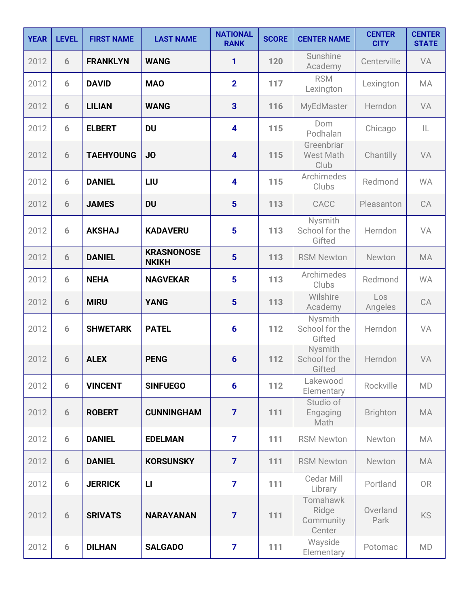| <b>YEAR</b> | <b>LEVEL</b> | <b>FIRST NAME</b> | <b>LAST NAME</b>                  | <b>NATIONAL</b><br><b>RANK</b> | <b>SCORE</b> | <b>CENTER NAME</b>                       | <b>CENTER</b><br><b>CITY</b> | <b>CENTER</b><br><b>STATE</b> |
|-------------|--------------|-------------------|-----------------------------------|--------------------------------|--------------|------------------------------------------|------------------------------|-------------------------------|
| 2012        | 6            | <b>FRANKLYN</b>   | <b>WANG</b>                       | 1                              | 120          | Sunshine<br>Academy                      | Centerville                  | VA                            |
| 2012        | 6            | <b>DAVID</b>      | <b>MAO</b>                        | $\overline{2}$                 | 117          | <b>RSM</b><br>Lexington                  | Lexington                    | MA                            |
| 2012        | 6            | <b>LILIAN</b>     | <b>WANG</b>                       | 3                              | 116          | MyEdMaster                               | Herndon                      | VA                            |
| 2012        | 6            | <b>ELBERT</b>     | <b>DU</b>                         | $\overline{\mathbf{4}}$        | 115          | Dom<br>Podhalan                          | Chicago                      | IL                            |
| 2012        | 6            | <b>TAEHYOUNG</b>  | JO                                | $\overline{\mathbf{4}}$        | 115          | Greenbriar<br>West Math<br>Club          | Chantilly                    | VA                            |
| 2012        | 6            | <b>DANIEL</b>     | LIU                               | $\overline{\mathbf{4}}$        | 115          | Archimedes<br>Clubs                      | Redmond                      | <b>WA</b>                     |
| 2012        | 6            | <b>JAMES</b>      | <b>DU</b>                         | 5                              | 113          | CACC                                     | Pleasanton                   | CA                            |
| 2012        | 6            | <b>AKSHAJ</b>     | <b>KADAVERU</b>                   | 5                              | 113          | Nysmith<br>School for the<br>Gifted      | Herndon                      | VA                            |
| 2012        | 6            | <b>DANIEL</b>     | <b>KRASNONOSE</b><br><b>NKIKH</b> | 5                              | 113          | <b>RSM Newton</b>                        | Newton                       | <b>MA</b>                     |
| 2012        | 6            | <b>NEHA</b>       | <b>NAGVEKAR</b>                   | 5                              | 113          | Archimedes<br>Clubs                      | Redmond                      | <b>WA</b>                     |
| 2012        | 6            | <b>MIRU</b>       | <b>YANG</b>                       | 5                              | 113          | Wilshire<br>Academy                      | Los<br>Angeles               | CA                            |
| 2012        | 6            | <b>SHWETARK</b>   | <b>PATEL</b>                      | $6\phantom{1}6$                | 112          | Nysmith<br>School for the<br>Gifted      | Herndon                      | VA                            |
| 2012        | 6            | <b>ALEX</b>       | <b>PENG</b>                       | $6\phantom{1}6$                | 112          | Nysmith<br>School for the<br>Gifted      | Herndon                      | VA                            |
| 2012        | 6            | <b>VINCENT</b>    | <b>SINFUEGO</b>                   | $6\phantom{1}6$                | 112          | Lakewood<br>Elementary                   | Rockville                    | <b>MD</b>                     |
| 2012        | 6            | <b>ROBERT</b>     | <b>CUNNINGHAM</b>                 | $\overline{7}$                 | 111          | Studio of<br>Engaging<br>Math            | <b>Brighton</b>              | <b>MA</b>                     |
| 2012        | 6            | <b>DANIEL</b>     | <b>EDELMAN</b>                    | $\overline{7}$                 | 111          | <b>RSM Newton</b>                        | Newton                       | <b>MA</b>                     |
| 2012        | 6            | <b>DANIEL</b>     | <b>KORSUNSKY</b>                  | $\overline{7}$                 | 111          | <b>RSM Newton</b>                        | Newton                       | <b>MA</b>                     |
| 2012        | 6            | <b>JERRICK</b>    | $\mathsf{L}$                      | $\overline{7}$                 | 111          | Cedar Mill<br>Library                    | Portland                     | <b>OR</b>                     |
| 2012        | 6            | <b>SRIVATS</b>    | <b>NARAYANAN</b>                  | $\overline{7}$                 | 111          | Tomahawk<br>Ridge<br>Community<br>Center | Overland<br>Park             | <b>KS</b>                     |
| 2012        | 6            | <b>DILHAN</b>     | <b>SALGADO</b>                    | $\overline{\mathbf{z}}$        | 111          | Wayside<br>Elementary                    | Potomac                      | <b>MD</b>                     |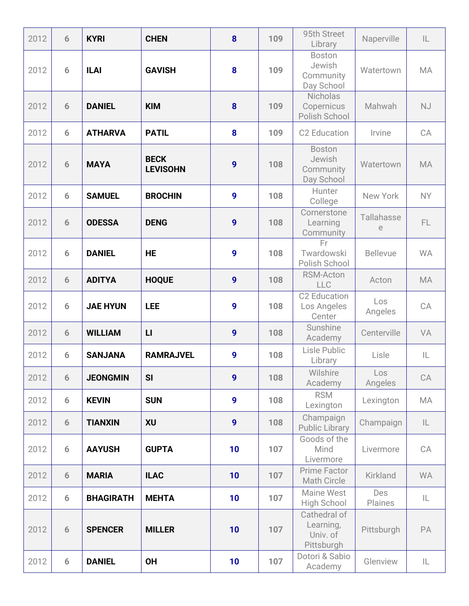| 2012 | 6 | <b>KYRI</b>      | <b>CHEN</b>                    | 8                | 109 | 95th Street<br>Library                              | Naperville            | IL        |
|------|---|------------------|--------------------------------|------------------|-----|-----------------------------------------------------|-----------------------|-----------|
| 2012 | 6 | <b>ILAI</b>      | <b>GAVISH</b>                  | 8                | 109 | <b>Boston</b><br>Jewish<br>Community<br>Day School  | Watertown             | <b>MA</b> |
| 2012 | 6 | <b>DANIEL</b>    | <b>KIM</b>                     | 8                | 109 | Nicholas<br>Copernicus<br>Polish School             | Mahwah                | <b>NJ</b> |
| 2012 | 6 | <b>ATHARVA</b>   | <b>PATIL</b>                   | 8                | 109 | <b>C2 Education</b>                                 | Irvine                | CA        |
| 2012 | 6 | <b>MAYA</b>      | <b>BECK</b><br><b>LEVISOHN</b> | $\boldsymbol{9}$ | 108 | <b>Boston</b><br>Jewish<br>Community<br>Day School  | Watertown             | <b>MA</b> |
| 2012 | 6 | <b>SAMUEL</b>    | <b>BROCHIN</b>                 | 9                | 108 | Hunter<br>College                                   | New York              | <b>NY</b> |
| 2012 | 6 | <b>ODESSA</b>    | <b>DENG</b>                    | 9                | 108 | Cornerstone<br>Learning<br>Community                | Tallahasse<br>e       | FL.       |
| 2012 | 6 | <b>DANIEL</b>    | <b>HE</b>                      | $\boldsymbol{9}$ | 108 | Fr.<br>Twardowski<br>Polish School                  | <b>Bellevue</b>       | <b>WA</b> |
| 2012 | 6 | <b>ADITYA</b>    | <b>HOQUE</b>                   | $\boldsymbol{9}$ | 108 | <b>RSM-Acton</b><br>LLC                             | Acton                 | <b>MA</b> |
| 2012 | 6 | <b>JAE HYUN</b>  | <b>LEE</b>                     | 9                | 108 | <b>C2 Education</b><br>Los Angeles<br>Center        | Los<br>Angeles        | CA        |
| 2012 | 6 | <b>WILLIAM</b>   | L1                             | 9                | 108 | Sunshine<br>Academy                                 | Centerville           | VA        |
| 2012 | 6 | <b>SANJANA</b>   | <b>RAMRAJVEL</b>               | 9                | 108 | Lisle Public<br>Library                             | Lisle                 | IL        |
| 2012 | 6 | <b>JEONGMIN</b>  | SI                             | 9                | 108 | Wilshire<br>Academy                                 | Los<br>Angeles        | CA        |
| 2012 | 6 | <b>KEVIN</b>     | <b>SUN</b>                     | $\boldsymbol{9}$ | 108 | <b>RSM</b><br>Lexington                             | Lexington             | MA        |
| 2012 | 6 | <b>TIANXIN</b>   | <b>XU</b>                      | $\boldsymbol{9}$ | 108 | Champaign<br><b>Public Library</b>                  | Champaign             | L         |
| 2012 | 6 | <b>AAYUSH</b>    | <b>GUPTA</b>                   | 10               | 107 | Goods of the<br>Mind<br>Livermore                   | Livermore             | CA        |
| 2012 | 6 | <b>MARIA</b>     | <b>ILAC</b>                    | 10               | 107 | Prime Factor<br>Math Circle                         | <b>Kirkland</b>       | <b>WA</b> |
| 2012 | 6 | <b>BHAGIRATH</b> | <b>MEHTA</b>                   | 10               | 107 | Maine West<br>High School                           | <b>Des</b><br>Plaines | IL        |
| 2012 | 6 | <b>SPENCER</b>   | <b>MILLER</b>                  | 10               | 107 | Cathedral of<br>Learning,<br>Univ. of<br>Pittsburgh | Pittsburgh            | PA        |
| 2012 | 6 | <b>DANIEL</b>    | <b>OH</b>                      | 10               | 107 | Dotori & Sabio<br>Academy                           | Glenview              | IL        |